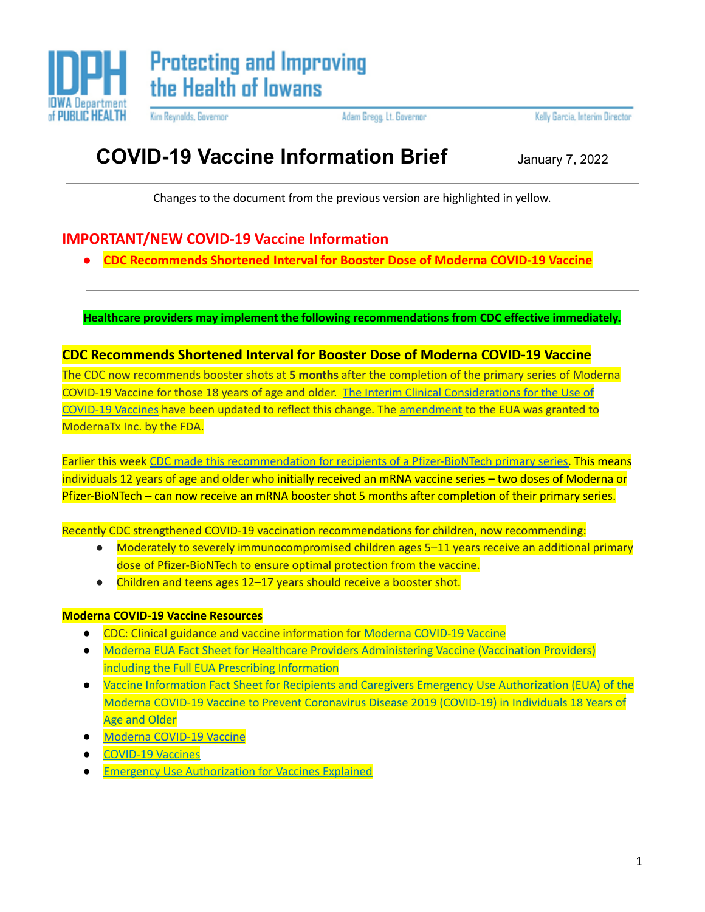

Kim Reynolds, Governor

Adam Gregg, Lt. Governor

Kelly Garcia, Interim Director

## **COVID-19 Vaccine Information Brief** January 7, 2022

Changes to the document from the previous version are highlighted in yellow.

### **IMPORTANT/NEW COVID-19 Vaccine Information**

**● CDC Recommends Shortened Interval for Booster Dose of Moderna COVID-19 Vaccine**

**Healthcare providers may implement the following recommendations from CDC effective immediately.**

#### **CDC Recommends Shortened Interval for Booster Dose of Moderna COVID-19 Vaccine**

The CDC now recommends booster shots at **5 months** after the completion of the primary series of Moderna COVID-19 Vaccine for those 18 years of age and older. The Interim Clinical [Considerations](https://www.cdc.gov/vaccines/covid-19/clinical-considerations/covid-19-vaccines-us.html) for the Use of [COVID-19](https://www.cdc.gov/vaccines/covid-19/clinical-considerations/covid-19-vaccines-us.html) Vaccines have been updated to reflect this change. The [amendment](https://www.fda.gov/media/144636/download) to the EUA was granted to ModernaTx Inc. by the FDA.

Earlier this week CDC made this [recommendation](https://www.cdc.gov/media/releases/2022/s0104-Pfizer-Booster.html) for recipients of a Pfizer-BioNTech primary series. This means individuals 12 years of age and older who initially received an mRNA vaccine series – two doses of Moderna or Pfizer-BioNTech – can now receive an mRNA booster shot 5 months after completion of their primary series.

Recently CDC strengthened COVID-19 vaccination recommendations for children, now recommending:

- Moderately to severely immunocompromised children ages 5–11 years receive an additional primary dose of Pfizer-BioNTech to ensure optimal protection from the vaccine.
- Children and teens ages 12–17 years should receive a booster shot.

#### **Moderna COVID-19 Vaccine Resources**

- CDC: Clinical guidance and vaccine information for Moderna [COVID-19](https://immunize.us1.list-manage.com/track/click?u=69948816469e0f4801f8647ee&id=c335c39bfe&e=02897d707b) Vaccine
- Moderna EUA Fact Sheet for Healthcare Providers [Administering](https://immunize.us1.list-manage.com/track/click?u=69948816469e0f4801f8647ee&id=5bdce82a06&e=02897d707b) Vaccine (Vaccination Providers) including the Full EUA Prescribing [Information](https://immunize.us1.list-manage.com/track/click?u=69948816469e0f4801f8647ee&id=5bdce82a06&e=02897d707b)
- Vaccine Information Fact Sheet for Recipients and Caregivers Emergency Use [Authorization](https://immunize.us1.list-manage.com/track/click?u=69948816469e0f4801f8647ee&id=3746f78f24&e=02897d707b) (EUA) of the Moderna COVID-19 Vaccine to Prevent [Coronavirus](https://immunize.us1.list-manage.com/track/click?u=69948816469e0f4801f8647ee&id=3746f78f24&e=02897d707b) Disease 2019 (COVID-19) in Individuals 18 Years of Age and [Older](https://immunize.us1.list-manage.com/track/click?u=69948816469e0f4801f8647ee&id=3746f78f24&e=02897d707b)
- Moderna [COVID-19](https://www.fda.gov/emergency-preparedness-and-response/coronavirus-disease-2019-covid-19/moderna-covid-19-vaccine) Vaccine
- [COVID-19](https://www.fda.gov/emergency-preparedness-and-response/coronavirus-disease-2019-covid-19/covid-19-vaccines) Vaccines
- **Emergency Use [Authorization](https://www.fda.gov/vaccines-blood-biologics/vaccines/emergency-use-authorization-vaccines-explained) for Vaccines Explained**